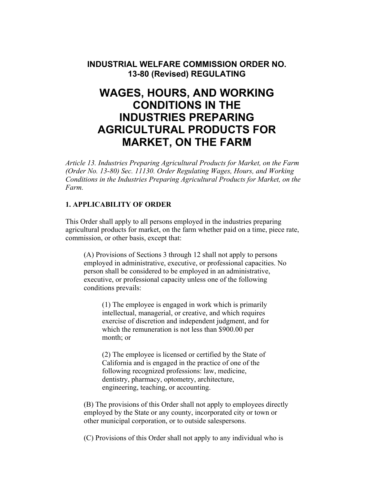## **INDUSTRIAL WELFARE COMMISSION ORDER NO. 13-80 (Revised) REGULATING**

# **WAGES, HOURS, AND WORKING CONDITIONS IN THE INDUSTRIES PREPARING AGRICULTURAL PRODUCTS FOR MARKET, ON THE FARM**

*Article 13. Industries Preparing Agricultural Products for Market, on the Farm (Order No. 13-80) Sec. 11130. Order Regulating Wages, Hours, and Working Conditions in the Industries Preparing Agricultural Products for Market, on the Farm.* 

## **1. APPLICABILITY OF ORDER**

This Order shall apply to all persons employed in the industries preparing agricultural products for market, on the farm whether paid on a time, piece rate, commission, or other basis, except that:

(A) Provisions of Sections 3 through 12 shall not apply to persons employed in administrative, executive, or professional capacities. No person shall be considered to be employed in an administrative, executive, or professional capacity unless one of the following conditions prevails:

(1) The employee is engaged in work which is primarily intellectual, managerial, or creative, and which requires exercise of discretion and independent judgment, and for which the remuneration is not less than \$900.00 per month; or

(2) The employee is licensed or certified by the State of California and is engaged in the practice of one of the following recognized professions: law, medicine, dentistry, pharmacy, optometry, architecture, engineering, teaching, or accounting.

(B) The provisions of this Order shall not apply to employees directly employed by the State or any county, incorporated city or town or other municipal corporation, or to outside salespersons.

(C) Provisions of this Order shall not apply to any individual who is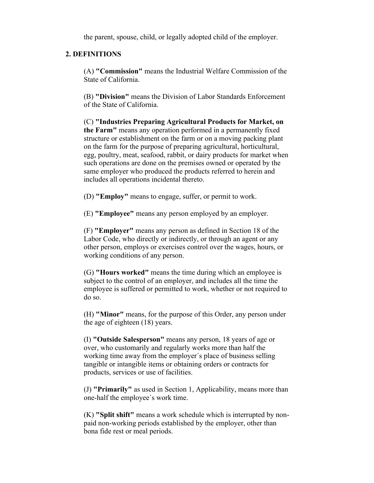the parent, spouse, child, or legally adopted child of the employer.

## **2. DEFINITIONS**

(A) **"Commission"** means the Industrial Welfare Commission of the State of California.

(B) **"Division"** means the Division of Labor Standards Enforcement of the State of California.

(C) **"Industries Preparing Agricultural Products for Market, on the Farm"** means any operation performed in a permanently fixed structure or establishment on the farm or on a moving packing plant on the farm for the purpose of preparing agricultural, horticultural, egg, poultry, meat, seafood, rabbit, or dairy products for market when such operations are done on the premises owned or operated by the same employer who produced the products referred to herein and includes all operations incidental thereto.

(D) **"Employ"** means to engage, suffer, or permit to work.

(E) **"Employee"** means any person employed by an employer.

(F) **"Employer"** means any person as defined in Section 18 of the Labor Code, who directly or indirectly, or through an agent or any other person, employs or exercises control over the wages, hours, or working conditions of any person.

(G) **"Hours worked"** means the time during which an employee is subject to the control of an employer, and includes all the time the employee is suffered or permitted to work, whether or not required to do so.

(H) **"Minor"** means, for the purpose of this Order, any person under the age of eighteen (18) years.

(I) **"Outside Salesperson"** means any person, 18 years of age or over, who customarily and regularly works more than half the working time away from the employer´s place of business selling tangible or intangible items or obtaining orders or contracts for products, services or use of facilities.

(J) **"Primarily"** as used in Section 1, Applicability, means more than one-half the employee´s work time.

(K) **"Split shift"** means a work schedule which is interrupted by nonpaid non-working periods established by the employer, other than bona fide rest or meal periods.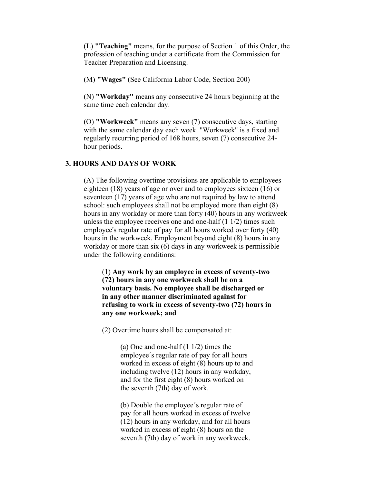(L) **"Teaching"** means, for the purpose of Section 1 of this Order, the profession of teaching under a certificate from the Commission for Teacher Preparation and Licensing.

(M) **"Wages"** (See California Labor Code, Section 200)

(N) **"Workday"** means any consecutive 24 hours beginning at the same time each calendar day.

(O) **"Workweek"** means any seven (7) consecutive days, starting with the same calendar day each week. "Workweek" is a fixed and regularly recurring period of 168 hours, seven (7) consecutive 24 hour periods.

#### **3. HOURS AND DAYS OF WORK**

(A) The following overtime provisions are applicable to employees eighteen (18) years of age or over and to employees sixteen (16) or seventeen (17) years of age who are not required by law to attend school: such employees shall not be employed more than eight (8) hours in any workday or more than forty (40) hours in any workweek unless the employee receives one and one-half (1 1/2) times such employee's regular rate of pay for all hours worked over forty (40) hours in the workweek. Employment beyond eight (8) hours in any workday or more than six (6) days in any workweek is permissible under the following conditions:

(1) **Any work by an employee in excess of seventy-two (72) hours in any one workweek shall be on a voluntary basis. No employee shall be discharged or in any other manner discriminated against for refusing to work in excess of seventy-two (72) hours in any one workweek; and** 

(2) Overtime hours shall be compensated at:

(a) One and one-half (1 1/2) times the employee´s regular rate of pay for all hours worked in excess of eight (8) hours up to and including twelve (12) hours in any workday, and for the first eight (8) hours worked on the seventh (7th) day of work.

(b) Double the employee´s regular rate of pay for all hours worked in excess of twelve (12) hours in any workday, and for all hours worked in excess of eight (8) hours on the seventh (7th) day of work in any workweek.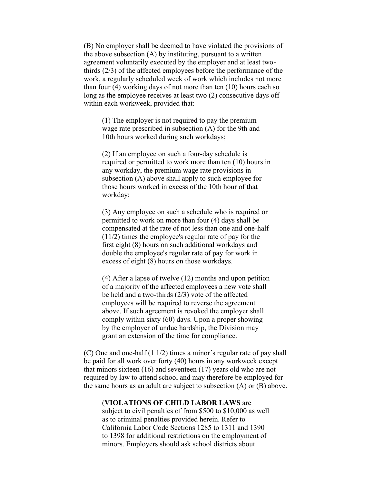(B) No employer shall be deemed to have violated the provisions of the above subsection (A) by instituting, pursuant to a written agreement voluntarily executed by the employer and at least twothirds (2/3) of the affected employees before the performance of the work, a regularly scheduled week of work which includes not more than four (4) working days of not more than ten (10) hours each so long as the employee receives at least two (2) consecutive days off within each workweek, provided that:

(1) The employer is not required to pay the premium wage rate prescribed in subsection (A) for the 9th and 10th hours worked during such workdays;

(2) If an employee on such a four-day schedule is required or permitted to work more than ten (10) hours in any workday, the premium wage rate provisions in subsection (A) above shall apply to such employee for those hours worked in excess of the 10th hour of that workday;

(3) Any employee on such a schedule who is required or permitted to work on more than four (4) days shall be compensated at the rate of not less than one and one-half (11/2) times the employee's regular rate of pay for the first eight (8) hours on such additional workdays and double the employee's regular rate of pay for work in excess of eight (8) hours on those workdays.

(4) After a lapse of twelve (12) months and upon petition of a majority of the affected employees a new vote shall be held and a two-thirds (2/3) vote of the affected employees will be required to reverse the agreement above. If such agreement is revoked the employer shall comply within sixty (60) days. Upon a proper showing by the employer of undue hardship, the Division may grant an extension of the time for compliance.

(C) One and one-half (1 1/2) times a minor´s regular rate of pay shall be paid for all work over forty (40) hours in any workweek except that minors sixteen (16) and seventeen (17) years old who are not required by law to attend school and may therefore be employed for the same hours as an adult are subject to subsection (A) or (B) above.

#### (**VIOLATIONS OF CHILD LABOR LAWS** are

subject to civil penalties of from \$500 to \$10,000 as well as to criminal penalties provided herein. Refer to California Labor Code Sections 1285 to 1311 and 1390 to 1398 for additional restrictions on the employment of minors. Employers should ask school districts about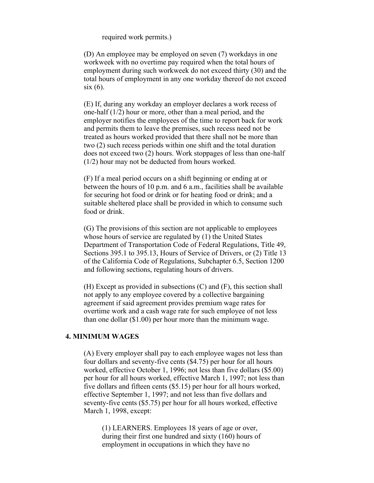required work permits.)

(D) An employee may be employed on seven (7) workdays in one workweek with no overtime pay required when the total hours of employment during such workweek do not exceed thirty (30) and the total hours of employment in any one workday thereof do not exceed  $s$ ix  $(6)$ .

(E) If, during any workday an employer declares a work recess of one-half (1/2) hour or more, other than a meal period, and the employer notifies the employees of the time to report back for work and permits them to leave the premises, such recess need not be treated as hours worked provided that there shall not be more than two (2) such recess periods within one shift and the total duration does not exceed two (2) hours. Work stoppages of less than one-half (1/2) hour may not be deducted from hours worked.

(F) If a meal period occurs on a shift beginning or ending at or between the hours of 10 p.m. and 6 a.m., facilities shall be available for securing hot food or drink or for heating food or drink; and a suitable sheltered place shall be provided in which to consume such food or drink.

(G) The provisions of this section are not applicable to employees whose hours of service are regulated by (1) the United States Department of Transportation Code of Federal Regulations, Title 49, Sections 395.1 to 395.13, Hours of Service of Drivers, or (2) Title 13 of the California Code of Regulations, Subchapter 6.5, Section 1200 and following sections, regulating hours of drivers.

(H) Except as provided in subsections (C) and (F), this section shall not apply to any employee covered by a collective bargaining agreement if said agreement provides premium wage rates for overtime work and a cash wage rate for such employee of not less than one dollar (\$1.00) per hour more than the minimum wage.

#### **4. MINIMUM WAGES**

(A) Every employer shall pay to each employee wages not less than four dollars and seventy-five cents (\$4.75) per hour for all hours worked, effective October 1, 1996; not less than five dollars (\$5.00) per hour for all hours worked, effective March 1, 1997; not less than five dollars and fifteen cents (\$5.15) per hour for all hours worked, effective September 1, 1997; and not less than five dollars and seventy-five cents (\$5.75) per hour for all hours worked, effective March 1, 1998, except:

(1) LEARNERS. Employees 18 years of age or over, during their first one hundred and sixty (160) hours of employment in occupations in which they have no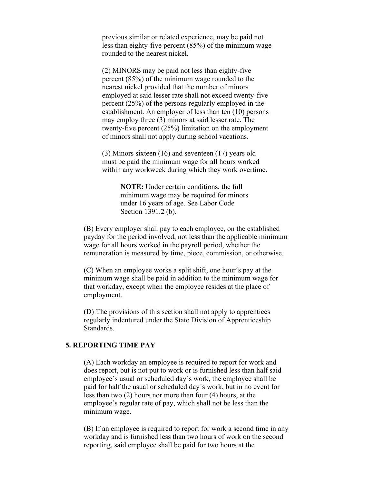previous similar or related experience, may be paid not less than eighty-five percent (85%) of the minimum wage rounded to the nearest nickel.

(2) MINORS may be paid not less than eighty-five percent (85%) of the minimum wage rounded to the nearest nickel provided that the number of minors employed at said lesser rate shall not exceed twenty-five percent (25%) of the persons regularly employed in the establishment. An employer of less than ten (10) persons may employ three (3) minors at said lesser rate. The twenty-five percent (25%) limitation on the employment of minors shall not apply during school vacations.

(3) Minors sixteen (16) and seventeen (17) years old must be paid the minimum wage for all hours worked within any workweek during which they work overtime.

> **NOTE:** Under certain conditions, the full minimum wage may be required for minors under 16 years of age. See Labor Code Section 1391.2 (b).

(B) Every employer shall pay to each employee, on the established payday for the period involved, not less than the applicable minimum wage for all hours worked in the payroll period, whether the remuneration is measured by time, piece, commission, or otherwise.

(C) When an employee works a split shift, one hour´s pay at the minimum wage shall be paid in addition to the minimum wage for that workday, except when the employee resides at the place of employment.

(D) The provisions of this section shall not apply to apprentices regularly indentured under the State Division of Apprenticeship Standards.

#### **5. REPORTING TIME PAY**

(A) Each workday an employee is required to report for work and does report, but is not put to work or is furnished less than half said employee´s usual or scheduled day´s work, the employee shall be paid for half the usual or scheduled day´s work, but in no event for less than two (2) hours nor more than four (4) hours, at the employee´s regular rate of pay, which shall not be less than the minimum wage.

(B) If an employee is required to report for work a second time in any workday and is furnished less than two hours of work on the second reporting, said employee shall be paid for two hours at the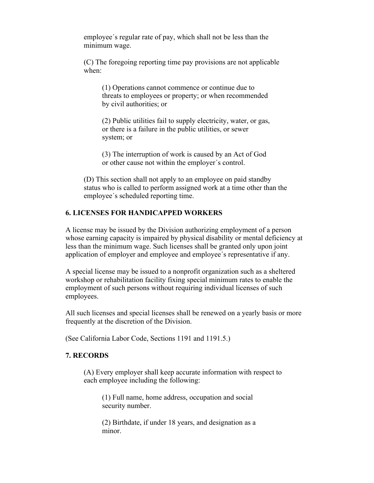employee´s regular rate of pay, which shall not be less than the minimum wage.

(C) The foregoing reporting time pay provisions are not applicable when:

(1) Operations cannot commence or continue due to threats to employees or property; or when recommended by civil authorities; or

(2) Public utilities fail to supply electricity, water, or gas, or there is a failure in the public utilities, or sewer system; or

(3) The interruption of work is caused by an Act of God or other cause not within the employer´s control.

(D) This section shall not apply to an employee on paid standby status who is called to perform assigned work at a time other than the employee´s scheduled reporting time.

## **6. LICENSES FOR HANDICAPPED WORKERS**

A license may be issued by the Division authorizing employment of a person whose earning capacity is impaired by physical disability or mental deficiency at less than the minimum wage. Such licenses shall be granted only upon joint application of employer and employee and employee´s representative if any.

A special license may be issued to a nonprofit organization such as a sheltered workshop or rehabilitation facility fixing special minimum rates to enable the employment of such persons without requiring individual licenses of such employees.

All such licenses and special licenses shall be renewed on a yearly basis or more frequently at the discretion of the Division.

(See California Labor Code, Sections 1191 and 1191.5.)

## **7. RECORDS**

(A) Every employer shall keep accurate information with respect to each employee including the following:

(1) Full name, home address, occupation and social security number.

(2) Birthdate, if under 18 years, and designation as a minor.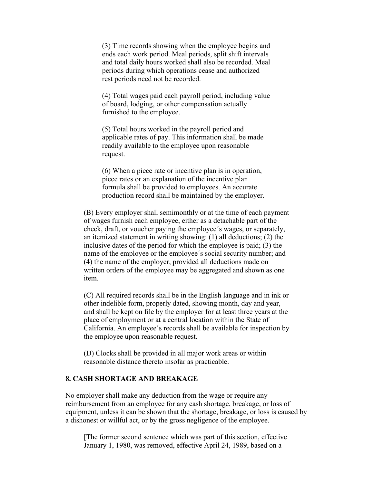(3) Time records showing when the employee begins and ends each work period. Meal periods, split shift intervals and total daily hours worked shall also be recorded. Meal periods during which operations cease and authorized rest periods need not be recorded.

(4) Total wages paid each payroll period, including value of board, lodging, or other compensation actually furnished to the employee.

(5) Total hours worked in the payroll period and applicable rates of pay. This information shall be made readily available to the employee upon reasonable request.

(6) When a piece rate or incentive plan is in operation, piece rates or an explanation of the incentive plan formula shall be provided to employees. An accurate production record shall be maintained by the employer.

(B) Every employer shall semimonthly or at the time of each payment of wages furnish each employee, either as a detachable part of the check, draft, or voucher paying the employee´s wages, or separately, an itemized statement in writing showing: (1) all deductions; (2) the inclusive dates of the period for which the employee is paid; (3) the name of the employee or the employee´s social security number; and (4) the name of the employer, provided all deductions made on written orders of the employee may be aggregated and shown as one item.

(C) All required records shall be in the English language and in ink or other indelible form, properly dated, showing month, day and year, and shall be kept on file by the employer for at least three years at the place of employment or at a central location within the State of California. An employee´s records shall be available for inspection by the employee upon reasonable request.

(D) Clocks shall be provided in all major work areas or within reasonable distance thereto insofar as practicable.

#### **8. CASH SHORTAGE AND BREAKAGE**

No employer shall make any deduction from the wage or require any reimbursement from an employee for any cash shortage, breakage, or loss of equipment, unless it can be shown that the shortage, breakage, or loss is caused by a dishonest or willful act, or by the gross negligence of the employee.

[The former second sentence which was part of this section, effective January 1, 1980, was removed, effective April 24, 1989, based on a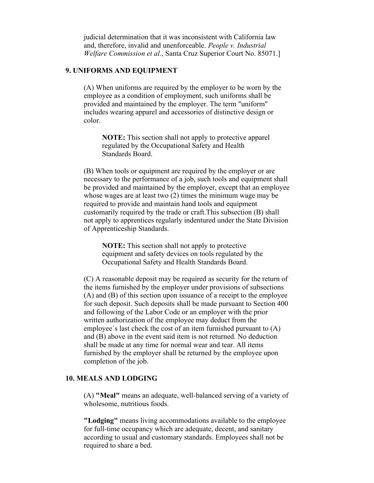judicial determination that it was inconsistent with California law and, therefore, invalid and unenforceable. *People v. Industrial Welfare Commission et al.*, Santa Cruz Superior Court No. 85071.]

#### **9. UNIFORMS AND EQUIPMENT**

(A) When uniforms are required by the employer to be worn by the employee as a condition of employment, such uniforms shall be provided and maintained by the employer. The term "uniform" includes wearing apparel and accessories of distinctive design or color.

**NOTE:** This section shall not apply to protective apparel regulated by the Occupational Safety and Health Standards Board.

(B) When tools or equipment are required by the employer or are necessary to the performance of a job, such tools and equipment shall be provided and maintained by the employer, except that an employee whose wages are at least two (2) times the minimum wage may be required to provide and maintain hand tools and equipment customarily required by the trade or craft.This subsection (B) shall not apply to apprentices regularly indentured under the State Division of Apprenticeship Standards.

**NOTE:** This section shall not apply to protective equipment and safety devices on tools regulated by the Occupational Safety and Health Standards Board.

(C) A reasonable deposit may be required as security for the return of the items furnished by the employer under provisions of subsections (A) and (B) of this section upon issuance of a receipt to the employee for such deposit. Such deposits shall be made pursuant to Section 400 and following of the Labor Code or an employer with the prior written authorization of the employee may deduct from the employee´s last check the cost of an item furnished pursuant to (A) and (B) above in the event said item is not returned. No deduction shall be made at any time for normal wear and tear. All items furnished by the employer shall be returned by the employee upon completion of the job.

#### **10. MEALS AND LODGING**

(A) **"Meal"** means an adequate, well-balanced serving of a variety of wholesome, nutritious foods.

**"Lodging"** means living accommodations available to the employee for full-time occupancy which are adequate, decent, and sanitary according to usual and customary standards. Employees shall not be required to share a bed.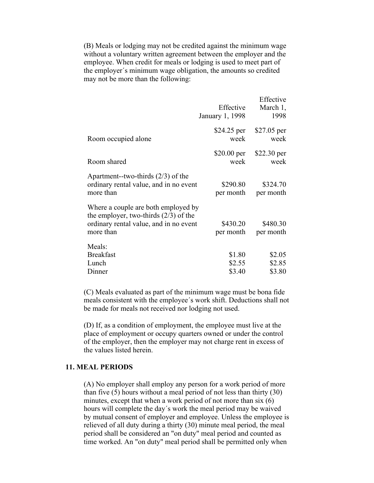(B) Meals or lodging may not be credited against the minimum wage without a voluntary written agreement between the employer and the employee. When credit for meals or lodging is used to meet part of the employer´s minimum wage obligation, the amounts so credited may not be more than the following:

|                                                                                                                                       | Effective<br>January 1, 1998 | Effective<br>March 1,<br>1998 |
|---------------------------------------------------------------------------------------------------------------------------------------|------------------------------|-------------------------------|
| Room occupied alone                                                                                                                   | \$24.25 per<br>week          | $$27.05$ per<br>week          |
| Room shared                                                                                                                           | \$20.00 per<br>week          | $$22.30$ per<br>week          |
| Apartment--two-thirds $(2/3)$ of the<br>ordinary rental value, and in no event<br>more than                                           | \$290.80<br>per month        | \$324.70<br>per month         |
| Where a couple are both employed by<br>the employer, two-thirds $(2/3)$ of the<br>ordinary rental value, and in no event<br>more than | \$430.20<br>per month        | \$480.30<br>per month         |
| Meals:<br><b>Breakfast</b><br>Lunch<br>Dinner                                                                                         | \$1.80<br>\$2.55<br>\$3.40   | \$2.05<br>\$2.85<br>\$3.80    |

(C) Meals evaluated as part of the minimum wage must be bona fide meals consistent with the employee´s work shift. Deductions shall not be made for meals not received nor lodging not used.

(D) If, as a condition of employment, the employee must live at the place of employment or occupy quarters owned or under the control of the employer, then the employer may not charge rent in excess of the values listed herein.

#### **11. MEAL PERIODS**

(A) No employer shall employ any person for a work period of more than five (5) hours without a meal period of not less than thirty (30) minutes, except that when a work period of not more than six (6) hours will complete the day´s work the meal period may be waived by mutual consent of employer and employee. Unless the employee is relieved of all duty during a thirty (30) minute meal period, the meal period shall be considered an "on duty" meal period and counted as time worked. An "on duty" meal period shall be permitted only when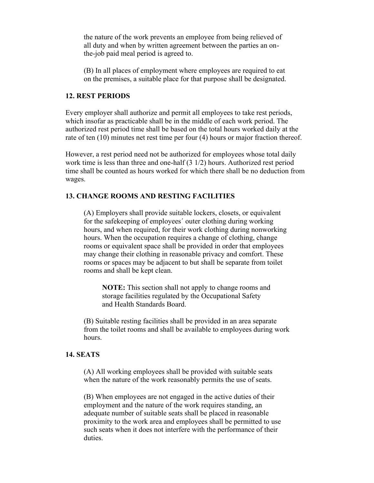the nature of the work prevents an employee from being relieved of all duty and when by written agreement between the parties an onthe-job paid meal period is agreed to.

(B) In all places of employment where employees are required to eat on the premises, a suitable place for that purpose shall be designated.

#### **12. REST PERIODS**

Every employer shall authorize and permit all employees to take rest periods, which insofar as practicable shall be in the middle of each work period. The authorized rest period time shall be based on the total hours worked daily at the rate of ten (10) minutes net rest time per four (4) hours or major fraction thereof.

However, a rest period need not be authorized for employees whose total daily work time is less than three and one-half (3 1/2) hours. Authorized rest period time shall be counted as hours worked for which there shall be no deduction from wages.

## **13. CHANGE ROOMS AND RESTING FACILITIES**

(A) Employers shall provide suitable lockers, closets, or equivalent for the safekeeping of employees´ outer clothing during working hours, and when required, for their work clothing during nonworking hours. When the occupation requires a change of clothing, change rooms or equivalent space shall be provided in order that employees may change their clothing in reasonable privacy and comfort. These rooms or spaces may be adjacent to but shall be separate from toilet rooms and shall be kept clean.

**NOTE:** This section shall not apply to change rooms and storage facilities regulated by the Occupational Safety and Health Standards Board.

(B) Suitable resting facilities shall be provided in an area separate from the toilet rooms and shall be available to employees during work hours.

#### **14. SEATS**

(A) All working employees shall be provided with suitable seats when the nature of the work reasonably permits the use of seats.

(B) When employees are not engaged in the active duties of their employment and the nature of the work requires standing, an adequate number of suitable seats shall be placed in reasonable proximity to the work area and employees shall be permitted to use such seats when it does not interfere with the performance of their duties.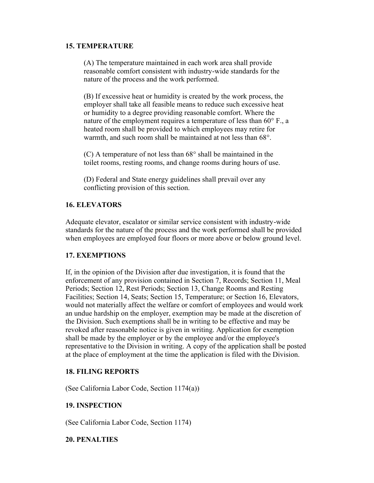## **15. TEMPERATURE**

(A) The temperature maintained in each work area shall provide reasonable comfort consistent with industry-wide standards for the nature of the process and the work performed.

(B) If excessive heat or humidity is created by the work process, the employer shall take all feasible means to reduce such excessive heat or humidity to a degree providing reasonable comfort. Where the nature of the employment requires a temperature of less than 60° F., a heated room shall be provided to which employees may retire for warmth, and such room shall be maintained at not less than 68°.

(C) A temperature of not less than 68° shall be maintained in the toilet rooms, resting rooms, and change rooms during hours of use.

(D) Federal and State energy guidelines shall prevail over any conflicting provision of this section.

## **16. ELEVATORS**

Adequate elevator, escalator or similar service consistent with industry-wide standards for the nature of the process and the work performed shall be provided when employees are employed four floors or more above or below ground level.

## **17. EXEMPTIONS**

If, in the opinion of the Division after due investigation, it is found that the enforcement of any provision contained in Section 7, Records; Section 11, Meal Periods; Section 12, Rest Periods; Section 13, Change Rooms and Resting Facilities; Section 14, Seats; Section 15, Temperature; or Section 16, Elevators, would not materially affect the welfare or comfort of employees and would work an undue hardship on the employer, exemption may be made at the discretion of the Division. Such exemptions shall be in writing to be effective and may be revoked after reasonable notice is given in writing. Application for exemption shall be made by the employer or by the employee and/or the employee's representative to the Division in writing. A copy of the application shall be posted at the place of employment at the time the application is filed with the Division.

#### **18. FILING REPORTS**

(See California Labor Code, Section 1174(a))

#### **19. INSPECTION**

(See California Labor Code, Section 1174)

## **20. PENALTIES**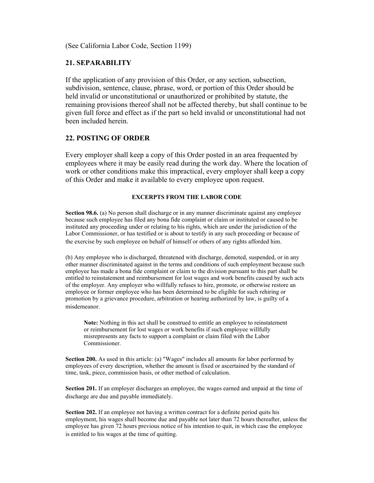## **21. SEPARABILITY**

If the application of any provision of this Order, or any section, subsection, subdivision, sentence, clause, phrase, word, or portion of this Order should be held invalid or unconstitutional or unauthorized or prohibited by statute, the remaining provisions thereof shall not be affected thereby, but shall continue to be given full force and effect as if the part so held invalid or unconstitutional had not been included herein.

## **22. POSTING OF ORDER**

Every employer shall keep a copy of this Order posted in an area frequented by employees where it may be easily read during the work day. Where the location of work or other conditions make this impractical, every employer shall keep a copy of this Order and make it available to every employee upon request.

#### **EXCERPTS FROM THE LABOR CODE**

**Section 98.6.** (a) No person shall discharge or in any manner discriminate against any employee because such employee has filed any bona fide complaint or claim or instituted or caused to be instituted any proceeding under or relating to his rights, which are under the jurisdiction of the Labor Commissioner, or has testified or is about to testify in any such proceeding or because of the exercise by such employee on behalf of himself or others of any rights afforded him.

(b) Any employee who is discharged, threatened with discharge, demoted, suspended, or in any other manner discriminated against in the terms and conditions of such employment because such employee has made a bona fide complaint or claim to the division pursuant to this part shall be entitled to reinstatement and reimbursement for lost wages and work benefits caused by such acts of the employer. Any employer who willfully refuses to hire, promote, or otherwise restore an employee or former employee who has been determined to be eligible for such rehiring or promotion by a grievance procedure, arbitration or hearing authorized by law, is guilty of a misdemeanor.

**Note:** Nothing in this act shall be construed to entitle an employee to reinstatement or reimbursement for lost wages or work benefits if such employee willfully misrepresents any facts to support a complaint or claim filed with the Labor Commissioner.

**Section 200.** As used in this article: (a) "Wages" includes all amounts for labor performed by employees of every description, whether the amount is fixed or ascertained by the standard of time, task, piece, commission basis, or other method of calculation.

**Section 201.** If an employer discharges an employee, the wages earned and unpaid at the time of discharge are due and payable immediately.

**Section 202.** If an employee not having a written contract for a definite period quits his employment, his wages shall become due and payable not later than 72 hours thereafter, unless the employee has given 72 hours previous notice of his intention to quit, in which case the employee is entitled to his wages at the time of quitting.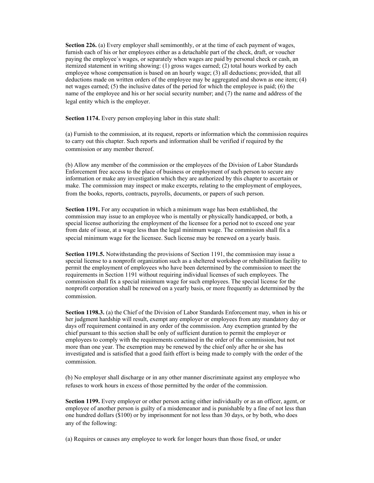**Section 226.** (a) Every employer shall semimonthly, or at the time of each payment of wages. furnish each of his or her employees either as a detachable part of the check, draft, or voucher paying the employee´s wages, or separately when wages are paid by personal check or cash, an itemized statement in writing showing: (1) gross wages earned; (2) total hours worked by each employee whose compensation is based on an hourly wage; (3) all deductions; provided, that all deductions made on written orders of the employee may be aggregated and shown as one item; (4) net wages earned; (5) the inclusive dates of the period for which the employee is paid; (6) the name of the employee and his or her social security number; and (7) the name and address of the legal entity which is the employer.

**Section 1174.** Every person employing labor in this state shall:

(a) Furnish to the commission, at its request, reports or information which the commission requires to carry out this chapter. Such reports and information shall be verified if required by the commission or any member thereof.

(b) Allow any member of the commission or the employees of the Division of Labor Standards Enforcement free access to the place of business or employment of such person to secure any information or make any investigation which they are authorized by this chapter to ascertain or make. The commission may inspect or make excerpts, relating to the employment of employees, from the books, reports, contracts, payrolls, documents, or papers of such person.

**Section 1191.** For any occupation in which a minimum wage has been established, the commission may issue to an employee who is mentally or physically handicapped, or both, a special license authorizing the employment of the licensee for a period not to exceed one year from date of issue, at a wage less than the legal minimum wage. The commission shall fix a special minimum wage for the licensee. Such license may be renewed on a yearly basis.

**Section 1191.5.** Notwithstanding the provisions of Section 1191, the commission may issue a special license to a nonprofit organization such as a sheltered workshop or rehabilitation facility to permit the employment of employees who have been determined by the commission to meet the requirements in Section 1191 without requiring individual licenses of such employees. The commission shall fix a special minimum wage for such employees. The special license for the nonprofit corporation shall be renewed on a yearly basis, or more frequently as determined by the commission.

**Section 1198.3.** (a) the Chief of the Division of Labor Standards Enforcement may, when in his or her judgment hardship will result, exempt any employer or employees from any mandatory day or days off requirement contained in any order of the commission. Any exemption granted by the chief pursuant to this section shall be only of sufficient duration to permit the employer or employees to comply with the requirements contained in the order of the commission, but not more than one year. The exemption may be renewed by the chief only after he or she has investigated and is satisfied that a good faith effort is being made to comply with the order of the commission.

(b) No employer shall discharge or in any other manner discriminate against any employee who refuses to work hours in excess of those permitted by the order of the commission.

**Section 1199.** Every employer or other person acting either individually or as an officer, agent, or employee of another person is guilty of a misdemeanor and is punishable by a fine of not less than one hundred dollars (\$100) or by imprisonment for not less than 30 days, or by both, who does any of the following:

(a) Requires or causes any employee to work for longer hours than those fixed, or under